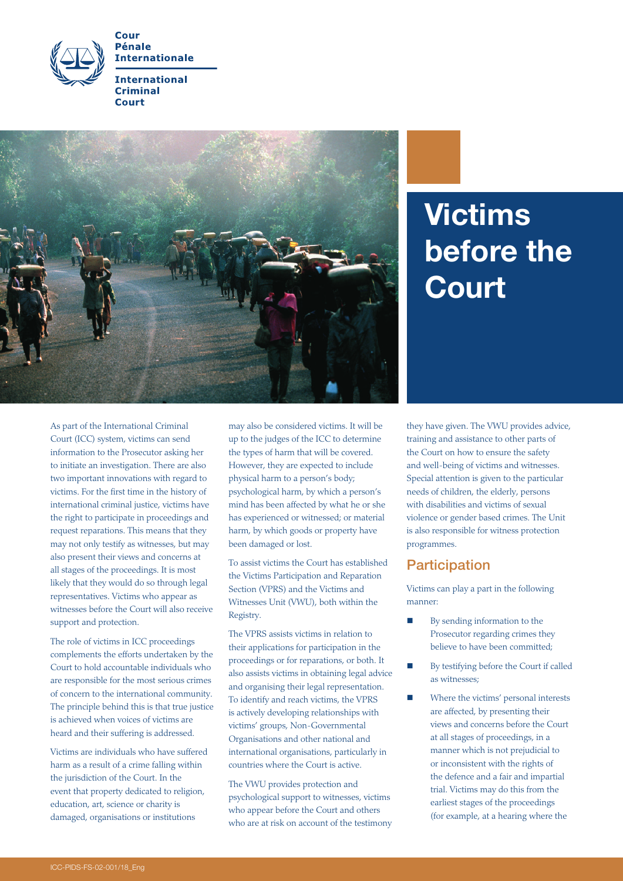



# Victims before the **Court**

As part of the International Criminal Court (ICC) system, victims can send information to the Prosecutor asking her to initiate an investigation. There are also two important innovations with regard to victims. For the first time in the history of international criminal justice, victims have the right to participate in proceedings and request reparations. This means that they may not only testify as witnesses, but may also present their views and concerns at all stages of the proceedings. It is most likely that they would do so through legal representatives. Victims who appear as witnesses before the Court will also receive support and protection.

The role of victims in ICC proceedings complements the efforts undertaken by the Court to hold accountable individuals who are responsible for the most serious crimes of concern to the international community. The principle behind this is that true justice is achieved when voices of victims are heard and their suffering is addressed.

Victims are individuals who have suffered harm as a result of a crime falling within the jurisdiction of the Court. In the event that property dedicated to religion, education, art, science or charity is damaged, organisations or institutions

may also be considered victims. It will be up to the judges of the ICC to determine the types of harm that will be covered. However, they are expected to include physical harm to a person's body; psychological harm, by which a person's mind has been affected by what he or she has experienced or witnessed; or material harm, by which goods or property have been damaged or lost.

To assist victims the Court has established the Victims Participation and Reparation Section (VPRS) and the Victims and Witnesses Unit (VWU), both within the Registry.

The VPRS assists victims in relation to their applications for participation in the proceedings or for reparations, or both. It also assists victims in obtaining legal advice and organising their legal representation. To identify and reach victims, the VPRS is actively developing relationships with victims' groups, Non-Governmental Organisations and other national and international organisations, particularly in countries where the Court is active.

The VWU provides protection and psychological support to witnesses, victims who appear before the Court and others who are at risk on account of the testimony they have given. The VWU provides advice, training and assistance to other parts of the Court on how to ensure the safety and well-being of victims and witnesses. Special attention is given to the particular needs of children, the elderly, persons with disabilities and victims of sexual violence or gender based crimes. The Unit is also responsible for witness protection programmes.

#### **Participation**

Victims can play a part in the following manner:

- By sending information to the Prosecutor regarding crimes they believe to have been committed;
- By testifying before the Court if called as witnesses;
- **Now Where the victims' personal interests** are affected, by presenting their views and concerns before the Court at all stages of proceedings, in a manner which is not prejudicial to or inconsistent with the rights of the defence and a fair and impartial trial. Victims may do this from the earliest stages of the proceedings (for example, at a hearing where the